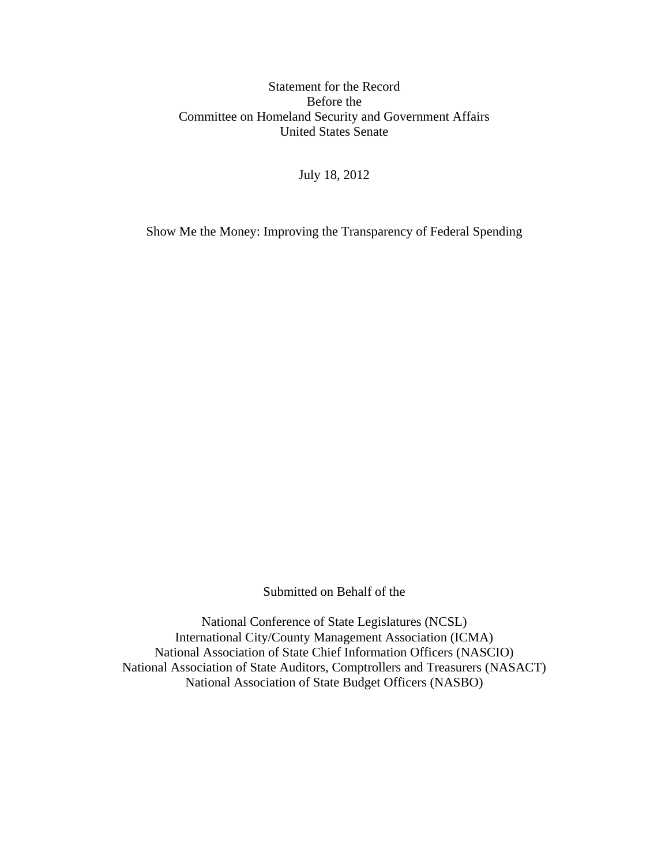## Statement for the Record Before the Committee on Homeland Security and Government Affairs United States Senate

July 18, 2012

Show Me the Money: Improving the Transparency of Federal Spending

Submitted on Behalf of the

National Conference of State Legislatures (NCSL) International City/County Management Association (ICMA) National Association of State Chief Information Officers (NASCIO) National Association of State Auditors, Comptrollers and Treasurers (NASACT) National Association of State Budget Officers (NASBO)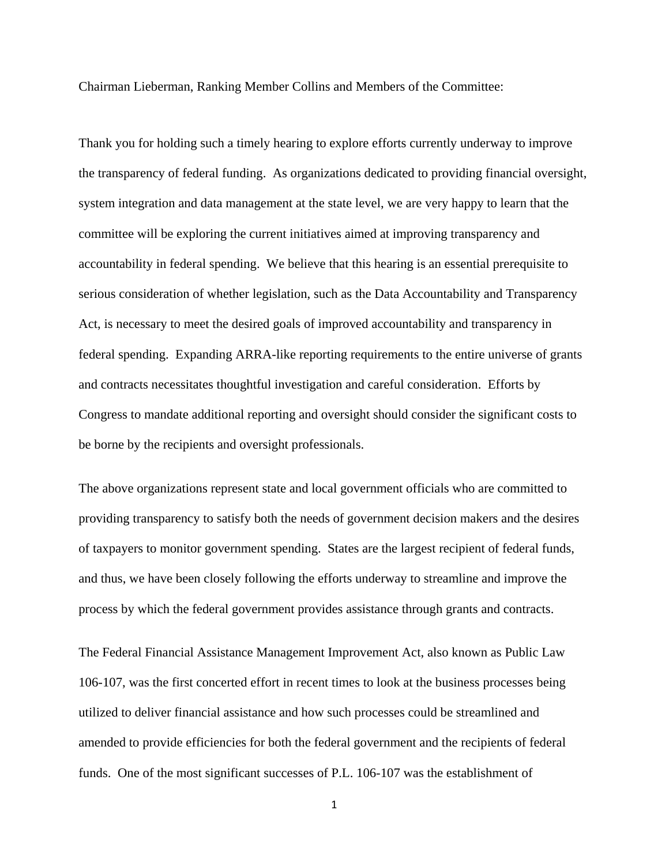Chairman Lieberman, Ranking Member Collins and Members of the Committee:

Thank you for holding such a timely hearing to explore efforts currently underway to improve the transparency of federal funding. As organizations dedicated to providing financial oversight, system integration and data management at the state level, we are very happy to learn that the committee will be exploring the current initiatives aimed at improving transparency and accountability in federal spending. We believe that this hearing is an essential prerequisite to serious consideration of whether legislation, such as the Data Accountability and Transparency Act, is necessary to meet the desired goals of improved accountability and transparency in federal spending. Expanding ARRA-like reporting requirements to the entire universe of grants and contracts necessitates thoughtful investigation and careful consideration. Efforts by Congress to mandate additional reporting and oversight should consider the significant costs to be borne by the recipients and oversight professionals.

The above organizations represent state and local government officials who are committed to providing transparency to satisfy both the needs of government decision makers and the desires of taxpayers to monitor government spending. States are the largest recipient of federal funds, and thus, we have been closely following the efforts underway to streamline and improve the process by which the federal government provides assistance through grants and contracts.

The Federal Financial Assistance Management Improvement Act, also known as Public Law 106-107, was the first concerted effort in recent times to look at the business processes being utilized to deliver financial assistance and how such processes could be streamlined and amended to provide efficiencies for both the federal government and the recipients of federal funds. One of the most significant successes of P.L. 106-107 was the establishment of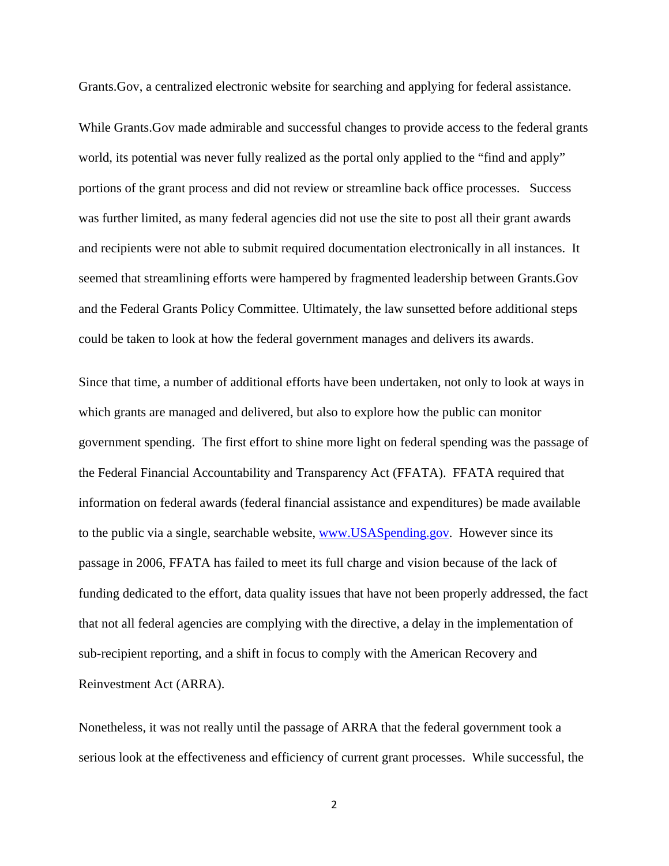Grants.Gov, a centralized electronic website for searching and applying for federal assistance.

While Grants.Gov made admirable and successful changes to provide access to the federal grants world, its potential was never fully realized as the portal only applied to the "find and apply" portions of the grant process and did not review or streamline back office processes. Success was further limited, as many federal agencies did not use the site to post all their grant awards and recipients were not able to submit required documentation electronically in all instances. It seemed that streamlining efforts were hampered by fragmented leadership between Grants.Gov and the Federal Grants Policy Committee. Ultimately, the law sunsetted before additional steps could be taken to look at how the federal government manages and delivers its awards.

Since that time, a number of additional efforts have been undertaken, not only to look at ways in which grants are managed and delivered, but also to explore how the public can monitor government spending. The first effort to shine more light on federal spending was the passage of the Federal Financial Accountability and Transparency Act (FFATA). FFATA required that information on federal awards (federal financial assistance and expenditures) be made available to the public via a single, searchable website, www.USASpending.gov. However since its passage in 2006, FFATA has failed to meet its full charge and vision because of the lack of funding dedicated to the effort, data quality issues that have not been properly addressed, the fact that not all federal agencies are complying with the directive, a delay in the implementation of sub-recipient reporting, and a shift in focus to comply with the American Recovery and Reinvestment Act (ARRA).

Nonetheless, it was not really until the passage of ARRA that the federal government took a serious look at the effectiveness and efficiency of current grant processes. While successful, the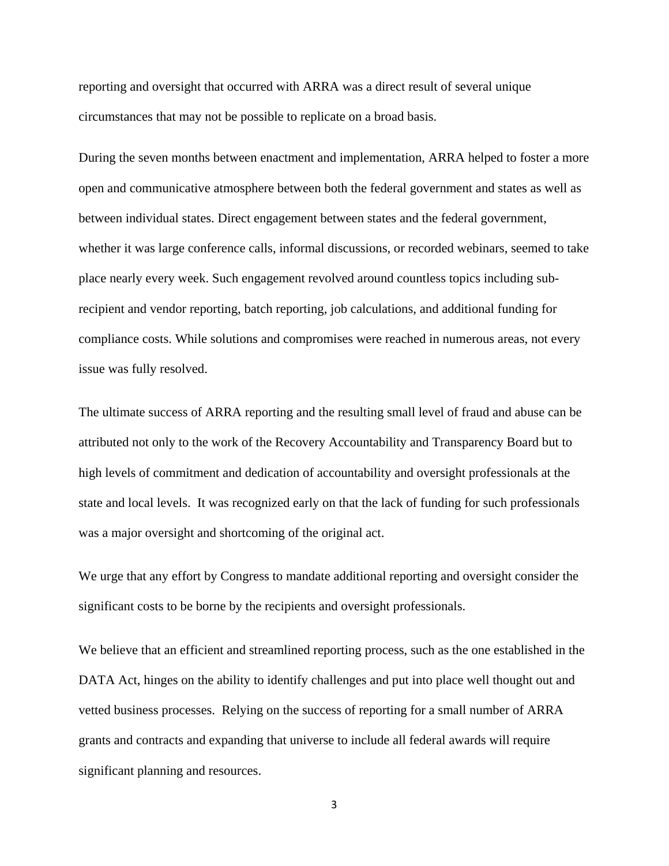reporting and oversight that occurred with ARRA was a direct result of several unique circumstances that may not be possible to replicate on a broad basis.

During the seven months between enactment and implementation, ARRA helped to foster a more open and communicative atmosphere between both the federal government and states as well as between individual states. Direct engagement between states and the federal government, whether it was large conference calls, informal discussions, or recorded webinars, seemed to take place nearly every week. Such engagement revolved around countless topics including subrecipient and vendor reporting, batch reporting, job calculations, and additional funding for compliance costs. While solutions and compromises were reached in numerous areas, not every issue was fully resolved.

The ultimate success of ARRA reporting and the resulting small level of fraud and abuse can be attributed not only to the work of the Recovery Accountability and Transparency Board but to high levels of commitment and dedication of accountability and oversight professionals at the state and local levels. It was recognized early on that the lack of funding for such professionals was a major oversight and shortcoming of the original act.

We urge that any effort by Congress to mandate additional reporting and oversight consider the significant costs to be borne by the recipients and oversight professionals.

We believe that an efficient and streamlined reporting process, such as the one established in the DATA Act, hinges on the ability to identify challenges and put into place well thought out and vetted business processes. Relying on the success of reporting for a small number of ARRA grants and contracts and expanding that universe to include all federal awards will require significant planning and resources.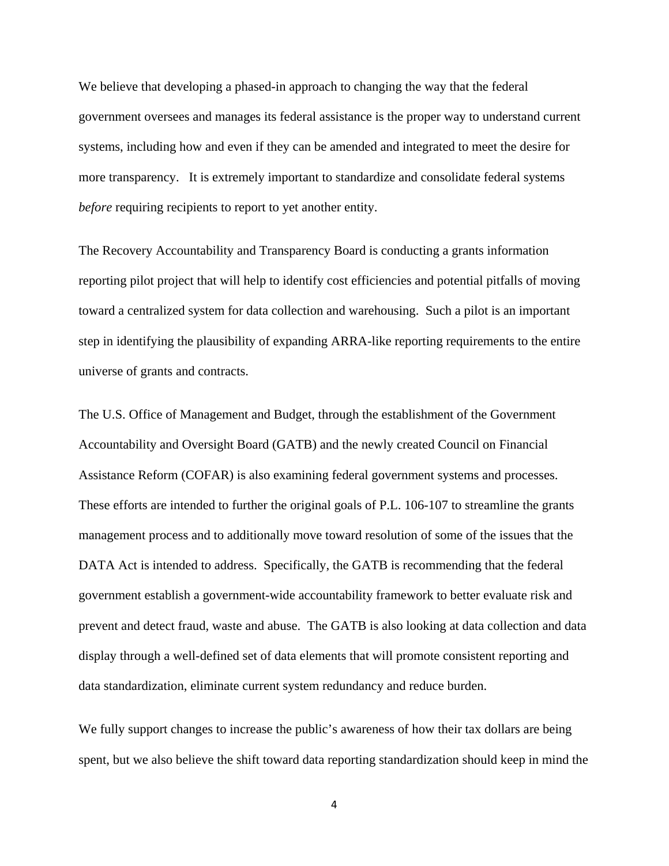We believe that developing a phased-in approach to changing the way that the federal government oversees and manages its federal assistance is the proper way to understand current systems, including how and even if they can be amended and integrated to meet the desire for more transparency. It is extremely important to standardize and consolidate federal systems *before* requiring recipients to report to yet another entity.

The Recovery Accountability and Transparency Board is conducting a grants information reporting pilot project that will help to identify cost efficiencies and potential pitfalls of moving toward a centralized system for data collection and warehousing. Such a pilot is an important step in identifying the plausibility of expanding ARRA-like reporting requirements to the entire universe of grants and contracts.

The U.S. Office of Management and Budget, through the establishment of the Government Accountability and Oversight Board (GATB) and the newly created Council on Financial Assistance Reform (COFAR) is also examining federal government systems and processes. These efforts are intended to further the original goals of P.L. 106-107 to streamline the grants management process and to additionally move toward resolution of some of the issues that the DATA Act is intended to address. Specifically, the GATB is recommending that the federal government establish a government-wide accountability framework to better evaluate risk and prevent and detect fraud, waste and abuse. The GATB is also looking at data collection and data display through a well-defined set of data elements that will promote consistent reporting and data standardization, eliminate current system redundancy and reduce burden.

We fully support changes to increase the public's awareness of how their tax dollars are being spent, but we also believe the shift toward data reporting standardization should keep in mind the